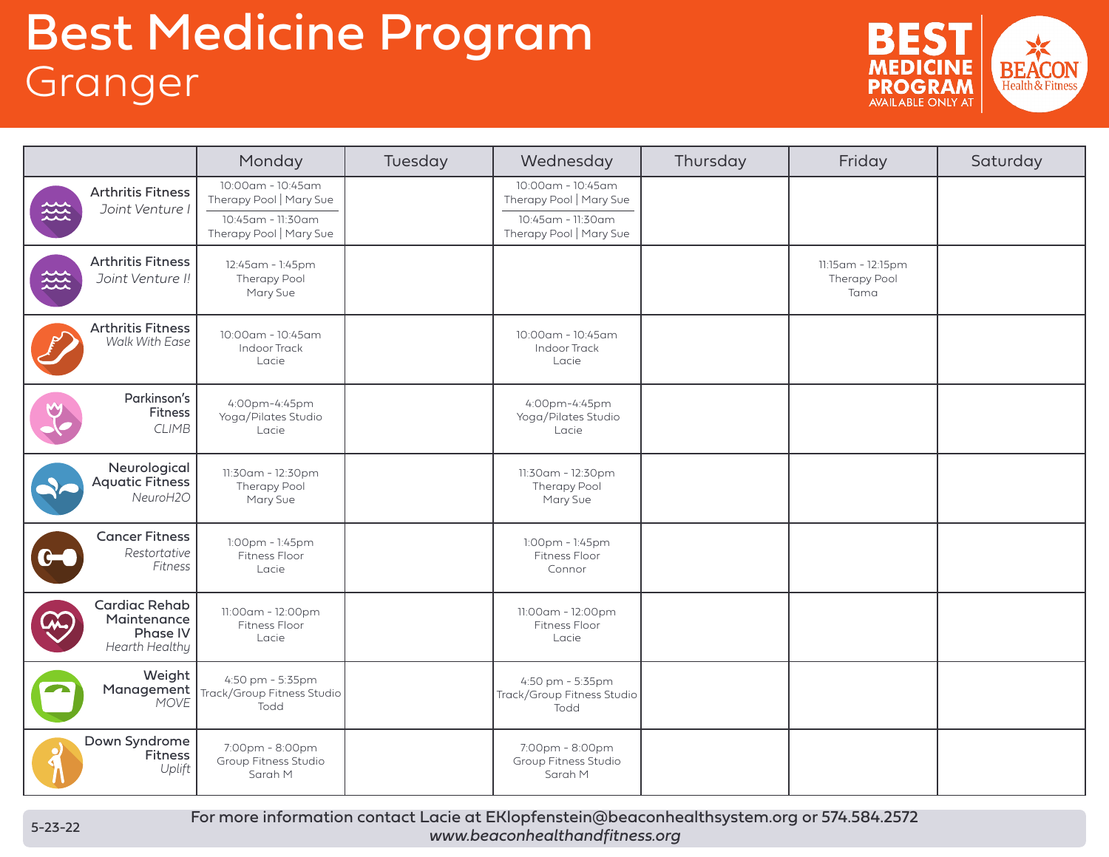## Best Medicine Program **Granger**



|                                                                                                           | Monday                                                                                       | Tuesday | Wednesday                                                                                    | Thursday | Friday                                    | Saturday |
|-----------------------------------------------------------------------------------------------------------|----------------------------------------------------------------------------------------------|---------|----------------------------------------------------------------------------------------------|----------|-------------------------------------------|----------|
| <b>Arthritis Fitness</b><br>Joint Venture I<br>蕊                                                          | 10:00am - 10:45am<br>Therapy Pool   Mary Sue<br>10:45am - 11:30am<br>Therapy Pool   Mary Sue |         | 10:00am - 10:45am<br>Therapy Pool   Mary Sue<br>10:45am - 11:30am<br>Therapy Pool   Mary Sue |          |                                           |          |
| <b>Arthritis Fitness</b><br>签<br>Joint Venture I!                                                         | 12:45am - 1:45pm<br>Therapy Pool<br>Mary Sue                                                 |         |                                                                                              |          | 11:15am - 12:15pm<br>Therapy Pool<br>Tama |          |
| <b>Arthritis Fitness</b><br>Walk With Ease                                                                | 10:00am - 10:45am<br>Indoor Track<br>Lacie                                                   |         | 10:00am - 10:45am<br><b>Indoor Track</b><br>Lacie                                            |          |                                           |          |
| Parkinson's<br>Fitness<br><b>CLIMB</b>                                                                    | 4:00pm-4:45pm<br>Yoga/Pilates Studio<br>Lacie                                                |         | 4:00pm-4:45pm<br>Yoga/Pilates Studio<br>Lacie                                                |          |                                           |          |
| Neurological<br><b>Aquatic Fitness</b><br>NeuroH2O                                                        | 11:30am - 12:30pm<br>Therapy Pool<br>Mary Sue                                                |         | 11:30am - 12:30pm<br>Therapy Pool<br>Mary Sue                                                |          |                                           |          |
| <b>Cancer Fitness</b><br>Restortative<br>$\bullet\hspace{-1.5pt}\bullet\hspace{-1.5pt}\bullet$<br>Fitness | 1:00pm - 1:45pm<br>Fitness Floor<br>Lacie                                                    |         | 1:00pm - 1:45pm<br>Fitness Floor<br>Connor                                                   |          |                                           |          |
| <b>Cardiac Rehab</b><br>Maintenance<br><b>Phase IV</b><br>Hearth Healthy                                  | 11:00am - 12:00pm<br>Fitness Floor<br>Lacie                                                  |         | 11:00am - 12:00pm<br>Fitness Floor<br>Lacie                                                  |          |                                           |          |
| Weight<br>Management<br><b>MOVE</b>                                                                       | 4:50 pm - 5:35pm<br>Track/Group Fitness Studio<br>Todd                                       |         | 4:50 pm - 5:35pm<br>Track/Group Fitness Studio<br>Todd                                       |          |                                           |          |
| Down Syndrome<br>Fitness<br>Uplift                                                                        | 7:00pm - 8:00pm<br>Group Fitness Studio<br>Sarah M                                           |         | 7:00pm - 8:00pm<br>Group Fitness Studio<br>Sarah M                                           |          |                                           |          |

For more information contact Lacie at EKlopfenstein@beaconhealthsystem.org or 574.584.2572 *www.beaconhealthandfitness.org*